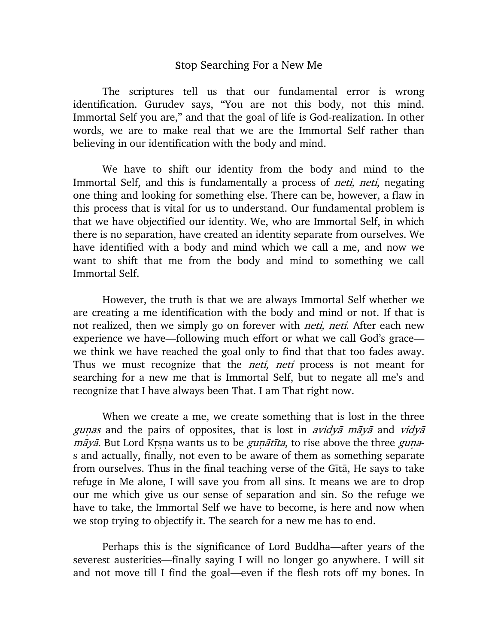## Stop Searching For a New Me

The scriptures tell us that our fundamental error is wrong identification. Gurudev says, "You are not this body, not this mind. Immortal Self you are," and that the goal of life is God-realization. In other words, we are to make real that we are the Immortal Self rather than believing in our identification with the body and mind.

We have to shift our identity from the body and mind to the Immortal Self, and this is fundamentally a process of *neti, neti*, negating one thing and looking for something else. There can be, however, a flaw in this process that is vital for us to understand. Our fundamental problem is that we have objectified our identity. We, who are Immortal Self, in which there is no separation, have created an identity separate from ourselves. We have identified with a body and mind which we call a me, and now we want to shift that me from the body and mind to something we call Immortal Self.

However, the truth is that we are always Immortal Self whether we are creating a me identification with the body and mind or not. If that is not realized, then we simply go on forever with *neti, neti*. After each new experience we have—following much effort or what we call God's grace we think we have reached the goal only to find that that too fades away. Thus we must recognize that the *neti, neti* process is not meant for searching for a new me that is Immortal Self, but to negate all me's and recognize that I have always been That. I am That right now.

When we create a me, we create something that is lost in the three gunas and the pairs of opposites, that is lost in *avidya maya* and *vidya*  $m\bar{a}y\bar{a}$ . But Lord Krsna wants us to be *gun* $\bar{a}t\bar{t}t$ *a*, to rise above the three *guna*s and actually, finally, not even to be aware of them as something separate from ourselves. Thus in the final teaching verse of the Gita, He says to take refuge in Me alone, I will save you from all sins. It means we are to drop our me which give us our sense of separation and sin. So the refuge we have to take, the Immortal Self we have to become, is here and now when we stop trying to objectify it. The search for a new me has to end.

Perhaps this is the significance of Lord Buddha—after years of the severest austerities—finally saying I will no longer go anywhere. I will sit and not move till I find the goal—even if the flesh rots off my bones. In